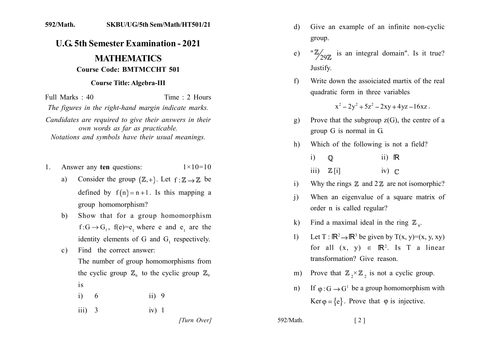## 592/Math. SKBU/UG/5th Sem/Math/HT501/21

## **U.G. 5th Semester Examination - 2021 MATHEMATICS**

## **Course Code: BMTMCCHT 501**

## **Course Title: Algebra-III**

Full Marks: 40 Time : 2 Hours The figures in the right-hand margin indicate marks. Candidates are required to give their answers in their own words as far as practicable. Notations and symbols have their usual meanings.

- Answer any ten questions:  $1 \times 10 = 10$  $1_{-}$ 
	- Consider the group  $(\mathbb{Z}, +)$ . Let  $f : \mathbb{Z} \to \mathbb{Z}$  be  $a)$ defined by  $f(n) = n + 1$ . Is this mapping a group homomorphism?
	- Show that for a group homomorphism  $b)$  $f: G \rightarrow G_1$ ,  $f(e)=e$ , where e and e, are the identity elements of G and G, respectively.
	- Find the correct answer:  $c)$ The number of group homomorphisms from the cyclic group  $\mathbb{Z}_6$  to the cyclic group  $\mathbb{Z}_9$  $is$ 
		- $i)$ 6  $ii) 9$
		- $iii) 3$  $iv) 1$

[Turn Over]

- Give an example of an infinite non-cyclic d) group.
- " $\mathbb{Z}_{29\%}$  is an integral domain". Is it true?  $e)$ Justify.
- Write down the assoiciated martix of the real f) quadratic form in three variables

 $x^2-2y^2+5z^2-2xy+4yz-16xz$ .

- Prove that the subgroup  $z(G)$ , the centre of a  $\mathbf{g}$ ) group G is normal in G.
- Which of the following is not a field? h)
	- $\mathbf{i}$  $\mathbb{O}$  $ii)$   $\mathbb{R}$  $\overline{\text{iii}}$   $\mathbb{Z}$   $\overline{\text{ii}}$  $iv)$   $\subset$
- Why the rings  $\mathbb Z$  and  $2\mathbb Z$  are not isomorphic?  $\mathbf{i}$
- When an eigenvalue of a square matrix of  $\mathbf{i}$ order n is called regular?
- Find a maximal ideal in the ring  $\mathbb{Z}_6$ .  $\bf k$
- Let T:  $\mathbb{R}^2 \rightarrow \mathbb{R}^3$  be given by T(x, y)=(x, y, xy)  $\mathbf{D}$ for all  $(x, y) \in \mathbb{R}^2$ . Is T a linear transformation? Give reason.
- m) Prove that  $\mathbb{Z}_3 \times \mathbb{Z}_2$  is not a cyclic group.
- If  $\varphi$ : G  $\rightarrow$  G<sup>1</sup> be a group homomorphism with  $n$ )  $Ker \varphi = \{e\}$ . Prove that  $\varphi$  is injective.

592/Math.

 $\lceil 2 \rceil$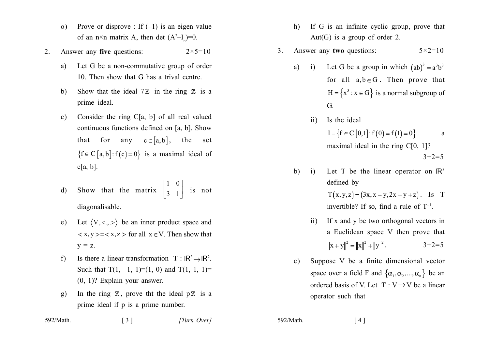- Prove or disprove : If  $(-1)$  is an eigen value  $\Omega$ of an n×n matrix A, then det  $(A^2-I) = 0$ .
- Answer any five questions:  $2 \times 5 = 10$  $2<sub>1</sub>$ 
	- Let G be a non-commutative group of order a) 10. Then show that G has a trival centre.
	- $b)$ Show that the ideal  $7\mathbb{Z}$  in the ring  $\mathbb{Z}$  is a prime ideal.
	- Consider the ring  $C[a, b]$  of all real valued  $c)$ continuous functions defined on [a, b]. Show that for any  $c \in [a, b]$ , the set  ${f \in C [a, b]: f(c) = 0}$  is a maximal ideal of  $c[a, b]$ .

d) Show that the matrix 
$$
\begin{bmatrix} 1 & 0 \\ 3 & 1 \end{bmatrix}
$$
 is not diagonalisable.

- e) Let  $\langle V, \langle \cdot, \cdot \rangle \rangle$  be an inner product space and  $\langle x, y \rangle = \langle x, z \rangle$  for all  $x \in V$ . Then show that  $y = z$ .
- Is there a linear transformation  $T : \mathbb{R}^3 \rightarrow \mathbb{R}^2$ .  $f$ Such that  $T(1, -1, 1) = (1, 0)$  and  $T(1, 1, 1) =$  $(0, 1)$ ? Explain your answer.
- In the ring  $\mathbb Z$ , prove the ideal  $p\mathbb Z$  is a  $g)$ prime ideal if p is a prime number.
- If G is an infinite cyclic group, prove that  $h)$ Aut(G) is a group of order 2.
- Answer any two questions:  $5 \times 2 = 10$  $\mathcal{E}$ 
	- Let G be a group in which  $(ab)^3 = a^3b^3$  $a)$  $i)$ for all  $a, b \in G$ . Then prove that  $H = \{x^3 : x \in G\}$  is a normal subgroup of  $G$ .
		- Is the ideal  $\overline{11}$  $I = \{f \in C[0,1]: f(0) = f(1) = 0\}$ a maximal ideal in the ring  $C[0, 1]$ ?  $3+2=5$
	- $b)$ Let T be the linear operator on  $\mathbb{R}^3$  $\overline{1}$ defined by

 $T(x, y, z) = (3x, x - y, 2x + y + z)$ . Is T invertible? If so, find a rule of  $T^{-1}$ .

- If x and y be two orthogonal vectors in  $\overline{11}$ a Euclidean space V then prove that  $\|\mathbf{x} + \mathbf{y}\|^2 = \|\mathbf{x}\|^2 + \|\mathbf{y}\|^2$ .  $3+2=5$
- Suppose V be a finite dimensional vector  $\mathbf{c}$ ) space over a field F and  $\{\alpha_1, \alpha_2, ..., \alpha_n\}$  be an ordered basis of V. Let  $T: V \rightarrow V$  be a linear operator such that

| 592/Math. | $\lceil 3 \rceil$ | [Turn Over] |
|-----------|-------------------|-------------|
|-----------|-------------------|-------------|

592/Math.

 $[4]$